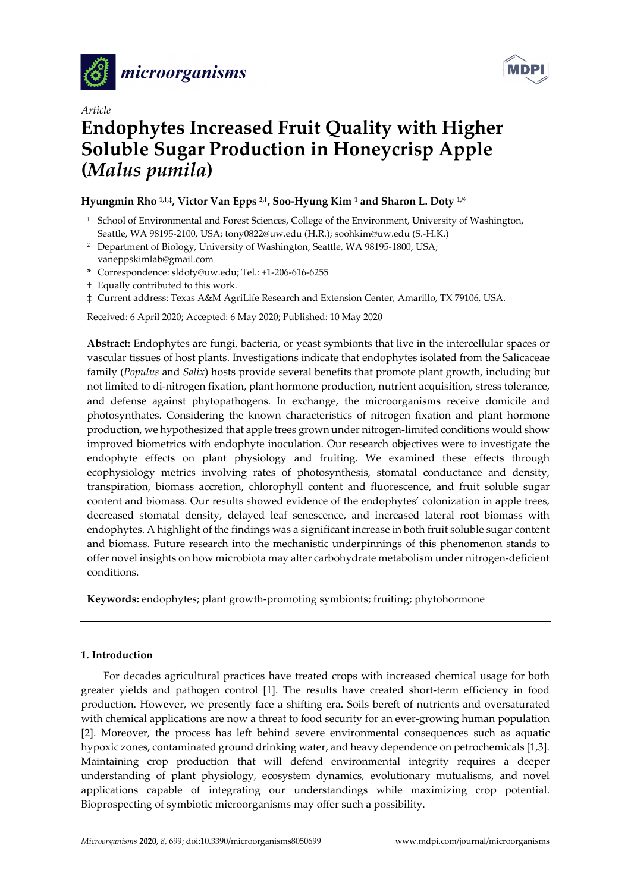



# *Article*  **Endophytes Increased Fruit Quality with Higher Soluble Sugar Production in Honeycrisp Apple (***Malus pumila***)**

## **Hyungmin Rho 1,†,‡, Victor Van Epps 2,†, Soo-Hyung Kim 1 and Sharon L. Doty 1,\***

- <sup>1</sup> School of Environmental and Forest Sciences, College of the Environment, University of Washington, Seattle, WA 98195-2100, USA; tony0822@uw.edu (H.R.); soohkim@uw.edu (S.-H.K.)
- <sup>2</sup> Department of Biology, University of Washington, Seattle, WA 98195-1800, USA; vaneppskimlab@gmail.com
- **\*** Correspondence: sldoty@uw.edu; Tel.: +1-206-616-6255
- † Equally contributed to this work.
- ‡ Current address: Texas A&M AgriLife Research and Extension Center, Amarillo, TX 79106, USA.

Received: 6 April 2020; Accepted: 6 May 2020; Published: 10 May 2020

**Abstract:** Endophytes are fungi, bacteria, or yeast symbionts that live in the intercellular spaces or vascular tissues of host plants. Investigations indicate that endophytes isolated from the Salicaceae family (*Populus* and *Salix*) hosts provide several benefits that promote plant growth, including but not limited to di-nitrogen fixation, plant hormone production, nutrient acquisition, stress tolerance, and defense against phytopathogens. In exchange, the microorganisms receive domicile and photosynthates. Considering the known characteristics of nitrogen fixation and plant hormone production, we hypothesized that apple trees grown under nitrogen-limited conditions would show improved biometrics with endophyte inoculation. Our research objectives were to investigate the endophyte effects on plant physiology and fruiting. We examined these effects through ecophysiology metrics involving rates of photosynthesis, stomatal conductance and density, transpiration, biomass accretion, chlorophyll content and fluorescence, and fruit soluble sugar content and biomass. Our results showed evidence of the endophytes' colonization in apple trees, decreased stomatal density, delayed leaf senescence, and increased lateral root biomass with endophytes. A highlight of the findings was a significant increase in both fruit soluble sugar content and biomass. Future research into the mechanistic underpinnings of this phenomenon stands to offer novel insights on how microbiota may alter carbohydrate metabolism under nitrogen-deficient conditions.

**Keywords:** endophytes; plant growth-promoting symbionts; fruiting; phytohormone

## **1. Introduction**

For decades agricultural practices have treated crops with increased chemical usage for both greater yields and pathogen control [1]. The results have created short-term efficiency in food production. However, we presently face a shifting era. Soils bereft of nutrients and oversaturated with chemical applications are now a threat to food security for an ever-growing human population [2]. Moreover, the process has left behind severe environmental consequences such as aquatic hypoxic zones, contaminated ground drinking water, and heavy dependence on petrochemicals [1,3]. Maintaining crop production that will defend environmental integrity requires a deeper understanding of plant physiology, ecosystem dynamics, evolutionary mutualisms, and novel applications capable of integrating our understandings while maximizing crop potential. Bioprospecting of symbiotic microorganisms may offer such a possibility.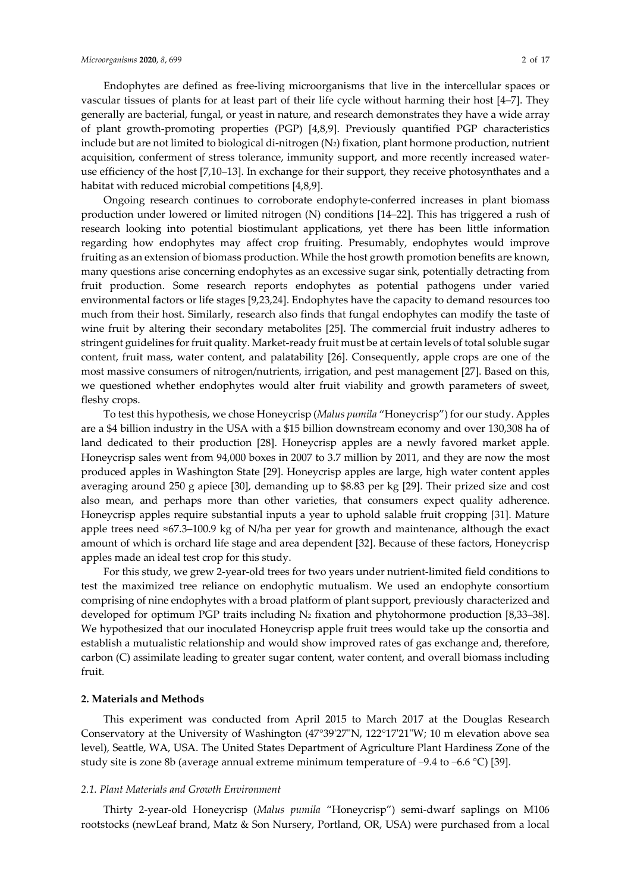Endophytes are defined as free-living microorganisms that live in the intercellular spaces or vascular tissues of plants for at least part of their life cycle without harming their host [4–7]. They

generally are bacterial, fungal, or yeast in nature, and research demonstrates they have a wide array of plant growth-promoting properties (PGP) [4,8,9]. Previously quantified PGP characteristics include but are not limited to biological di-nitrogen  $(N_2)$  fixation, plant hormone production, nutrient acquisition, conferment of stress tolerance, immunity support, and more recently increased wateruse efficiency of the host [7,10–13]. In exchange for their support, they receive photosynthates and a habitat with reduced microbial competitions [4,8,9].

Ongoing research continues to corroborate endophyte-conferred increases in plant biomass production under lowered or limited nitrogen (N) conditions [14–22]. This has triggered a rush of research looking into potential biostimulant applications, yet there has been little information regarding how endophytes may affect crop fruiting. Presumably, endophytes would improve fruiting as an extension of biomass production. While the host growth promotion benefits are known, many questions arise concerning endophytes as an excessive sugar sink, potentially detracting from fruit production. Some research reports endophytes as potential pathogens under varied environmental factors or life stages [9,23,24]. Endophytes have the capacity to demand resources too much from their host. Similarly, research also finds that fungal endophytes can modify the taste of wine fruit by altering their secondary metabolites [25]. The commercial fruit industry adheres to stringent guidelines for fruit quality. Market-ready fruit must be at certain levels of total soluble sugar content, fruit mass, water content, and palatability [26]. Consequently, apple crops are one of the most massive consumers of nitrogen/nutrients, irrigation, and pest management [27]. Based on this, we questioned whether endophytes would alter fruit viability and growth parameters of sweet, fleshy crops.

To test this hypothesis, we chose Honeycrisp (*Malus pumila* "Honeycrisp") for our study. Apples are a \$4 billion industry in the USA with a \$15 billion downstream economy and over 130,308 ha of land dedicated to their production [28]. Honeycrisp apples are a newly favored market apple. Honeycrisp sales went from 94,000 boxes in 2007 to 3.7 million by 2011, and they are now the most produced apples in Washington State [29]. Honeycrisp apples are large, high water content apples averaging around 250 g apiece [30], demanding up to \$8.83 per kg [29]. Their prized size and cost also mean, and perhaps more than other varieties, that consumers expect quality adherence. Honeycrisp apples require substantial inputs a year to uphold salable fruit cropping [31]. Mature apple trees need ≈67.3–100.9 kg of N/ha per year for growth and maintenance, although the exact amount of which is orchard life stage and area dependent [32]. Because of these factors, Honeycrisp apples made an ideal test crop for this study.

For this study, we grew 2-year-old trees for two years under nutrient-limited field conditions to test the maximized tree reliance on endophytic mutualism. We used an endophyte consortium comprising of nine endophytes with a broad platform of plant support, previously characterized and developed for optimum PGP traits including  $N_2$  fixation and phytohormone production [8,33–38]. We hypothesized that our inoculated Honeycrisp apple fruit trees would take up the consortia and establish a mutualistic relationship and would show improved rates of gas exchange and, therefore, carbon (C) assimilate leading to greater sugar content, water content, and overall biomass including fruit.

#### **2. Materials and Methods**

This experiment was conducted from April 2015 to March 2017 at the Douglas Research Conservatory at the University of Washington (47°39'27"N, 122°17'21"W; 10 m elevation above sea level), Seattle, WA, USA. The United States Department of Agriculture Plant Hardiness Zone of the study site is zone 8b (average annual extreme minimum temperature of −9.4 to −6.6 °C) [39].

#### *2.1. Plant Materials and Growth Environment*

Thirty 2-year-old Honeycrisp (*Malus pumila* "Honeycrisp") semi-dwarf saplings on M106 rootstocks (newLeaf brand, Matz & Son Nursery, Portland, OR, USA) were purchased from a local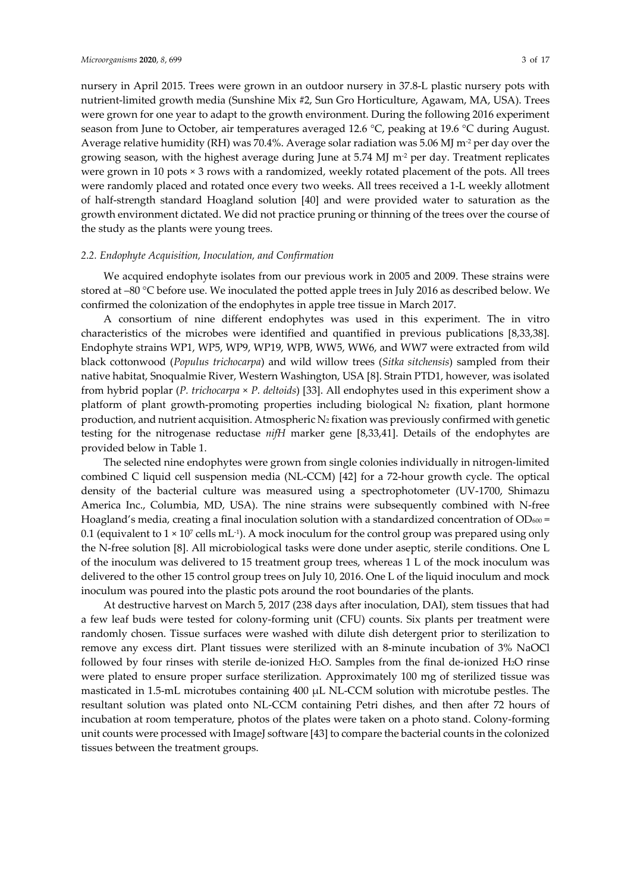nursery in April 2015. Trees were grown in an outdoor nursery in 37.8-L plastic nursery pots with nutrient-limited growth media (Sunshine Mix #2, Sun Gro Horticulture, Agawam, MA, USA). Trees were grown for one year to adapt to the growth environment. During the following 2016 experiment season from June to October, air temperatures averaged 12.6 °C, peaking at 19.6 °C during August. Average relative humidity (RH) was 70.4%. Average solar radiation was 5.06 MJ m<sup>-2</sup> per day over the growing season, with the highest average during June at 5.74 MJ  $m<sup>2</sup>$  per day. Treatment replicates were grown in 10 pots × 3 rows with a randomized, weekly rotated placement of the pots. All trees were randomly placed and rotated once every two weeks. All trees received a 1-L weekly allotment of half-strength standard Hoagland solution [40] and were provided water to saturation as the growth environment dictated. We did not practice pruning or thinning of the trees over the course of the study as the plants were young trees.

#### *2.2. Endophyte Acquisition, Inoculation, and Confirmation*

We acquired endophyte isolates from our previous work in 2005 and 2009. These strains were stored at –80 °C before use. We inoculated the potted apple trees in July 2016 as described below. We confirmed the colonization of the endophytes in apple tree tissue in March 2017.

A consortium of nine different endophytes was used in this experiment. The in vitro characteristics of the microbes were identified and quantified in previous publications [8,33,38]. Endophyte strains WP1, WP5, WP9, WP19, WPB, WW5, WW6, and WW7 were extracted from wild black cottonwood (*Populus trichocarpa*) and wild willow trees (*Sitka sitchensis*) sampled from their native habitat, Snoqualmie River, Western Washington, USA [8]. Strain PTD1, however, was isolated from hybrid poplar (*P. trichocarpa* × *P. deltoids*) [33]. All endophytes used in this experiment show a platform of plant growth-promoting properties including biological  $N_2$  fixation, plant hormone production, and nutrient acquisition. Atmospheric  $N_2$  fixation was previously confirmed with genetic testing for the nitrogenase reductase *nifH* marker gene [8,33,41]. Details of the endophytes are provided below in Table 1.

The selected nine endophytes were grown from single colonies individually in nitrogen-limited combined C liquid cell suspension media (NL-CCM) [42] for a 72-hour growth cycle. The optical density of the bacterial culture was measured using a spectrophotometer (UV-1700, Shimazu America Inc., Columbia, MD, USA). The nine strains were subsequently combined with N-free Hoagland's media, creating a final inoculation solution with a standardized concentration of  $OD_{600} =$ 0.1 (equivalent to  $1 \times 10^7$  cells mL<sup>-1</sup>). A mock inoculum for the control group was prepared using only the N-free solution [8]. All microbiological tasks were done under aseptic, sterile conditions. One L of the inoculum was delivered to 15 treatment group trees, whereas 1 L of the mock inoculum was delivered to the other 15 control group trees on July 10, 2016. One L of the liquid inoculum and mock inoculum was poured into the plastic pots around the root boundaries of the plants.

At destructive harvest on March 5, 2017 (238 days after inoculation, DAI), stem tissues that had a few leaf buds were tested for colony-forming unit (CFU) counts. Six plants per treatment were randomly chosen. Tissue surfaces were washed with dilute dish detergent prior to sterilization to remove any excess dirt. Plant tissues were sterilized with an 8-minute incubation of 3% NaOCl followed by four rinses with sterile de-ionized H2O. Samples from the final de-ionized H2O rinse were plated to ensure proper surface sterilization. Approximately 100 mg of sterilized tissue was masticated in 1.5-mL microtubes containing 400 μL NL-CCM solution with microtube pestles. The resultant solution was plated onto NL-CCM containing Petri dishes, and then after 72 hours of incubation at room temperature, photos of the plates were taken on a photo stand. Colony-forming unit counts were processed with ImageJ software [43] to compare the bacterial counts in the colonized tissues between the treatment groups.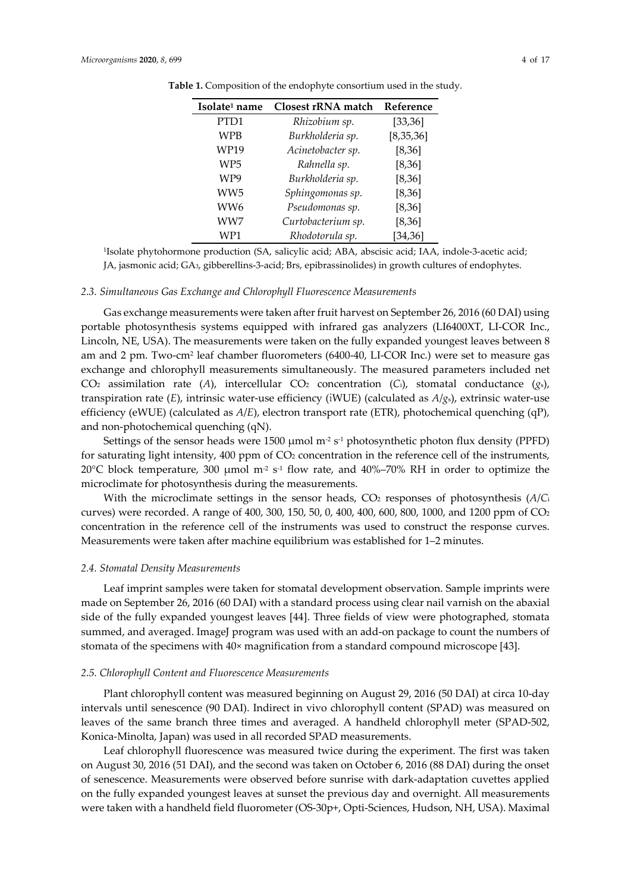| Isolate <sup>1</sup> name | <b>Closest rRNA</b> match | Reference   |
|---------------------------|---------------------------|-------------|
| PTD1                      | Rhizobium sp.             | [33, 36]    |
| WPB                       | Burkholderia sp.          | [8, 35, 36] |
| WP19                      | Acinetobacter sp.         | [8, 36]     |
| WP5                       | Rahnella sp.              | [8, 36]     |
| WP9                       | Burkholderia sp.          | [8, 36]     |
| WW5                       | Sphingomonas sp.          | [8, 36]     |
| WW6                       | Pseudomonas sp.           | [8, 36]     |
| WW7                       | Curtobacterium sp.        | [8, 36]     |
| WP1                       | Rhodotorula sp.           | [34, 36]    |

**Table 1.** Composition of the endophyte consortium used in the study.

1Isolate phytohormone production (SA, salicylic acid; ABA, abscisic acid; IAA, indole-3-acetic acid; JA, jasmonic acid; GA3, gibberellins-3-acid; Brs, epibrassinolides) in growth cultures of endophytes.

#### 2.3. Simultaneous Gas Exchange and Chlorophyll Fluorescence Measurements

Gas exchange measurements were taken after fruit harvest on September 26, 2016 (60 DAI) using portable photosynthesis systems equipped with infrared gas analyzers (LI6400XT, LI-COR Inc., Lincoln, NE, USA). The measurements were taken on the fully expanded youngest leaves between 8 am and 2 pm. Two-cm2 leaf chamber fluorometers (6400-40, LI-COR Inc.) were set to measure gas exchange and chlorophyll measurements simultaneously. The measured parameters included net CO2 assimilation rate (*A*), intercellular CO2 concentration (*C*i), stomatal conductance (*g*s), transpiration rate (*E*), intrinsic water-use efficiency (iWUE) (calculated as *A*/*g*s), extrinsic water-use efficiency (eWUE) (calculated as *A*/*E*), electron transport rate (ETR), photochemical quenching (qP), and non-photochemical quenching (qN).

Settings of the sensor heads were 1500  $\mu$ mol m<sup>-2</sup> s<sup>-1</sup> photosynthetic photon flux density (PPFD) for saturating light intensity, 400 ppm of CO<sub>2</sub> concentration in the reference cell of the instruments, 20 $\degree$ C block temperature, 300 μmol m<sup>-2</sup> s<sup>-1</sup> flow rate, and 40%–70% RH in order to optimize the microclimate for photosynthesis during the measurements.

With the microclimate settings in the sensor heads, CO<sub>2</sub> responses of photosynthesis (*A*/*C*<sub>i</sub> curves) were recorded. A range of 400, 300, 150, 50, 0, 400, 400, 600, 800, 1000, and 1200 ppm of CO2 concentration in the reference cell of the instruments was used to construct the response curves. Measurements were taken after machine equilibrium was established for 1–2 minutes.

#### *2.4. Stomatal Density Measurements*

Leaf imprint samples were taken for stomatal development observation. Sample imprints were made on September 26, 2016 (60 DAI) with a standard process using clear nail varnish on the abaxial side of the fully expanded youngest leaves [44]. Three fields of view were photographed, stomata summed, and averaged. ImageJ program was used with an add-on package to count the numbers of stomata of the specimens with 40× magnification from a standard compound microscope [43].

#### *2.5. Chlorophyll Content and Fluorescence Measurements*

Plant chlorophyll content was measured beginning on August 29, 2016 (50 DAI) at circa 10-day intervals until senescence (90 DAI). Indirect in vivo chlorophyll content (SPAD) was measured on leaves of the same branch three times and averaged. A handheld chlorophyll meter (SPAD-502, Konica-Minolta, Japan) was used in all recorded SPAD measurements.

Leaf chlorophyll fluorescence was measured twice during the experiment. The first was taken on August 30, 2016 (51 DAI), and the second was taken on October 6, 2016 (88 DAI) during the onset of senescence. Measurements were observed before sunrise with dark-adaptation cuvettes applied on the fully expanded youngest leaves at sunset the previous day and overnight. All measurements were taken with a handheld field fluorometer (OS-30p+, Opti-Sciences, Hudson, NH, USA). Maximal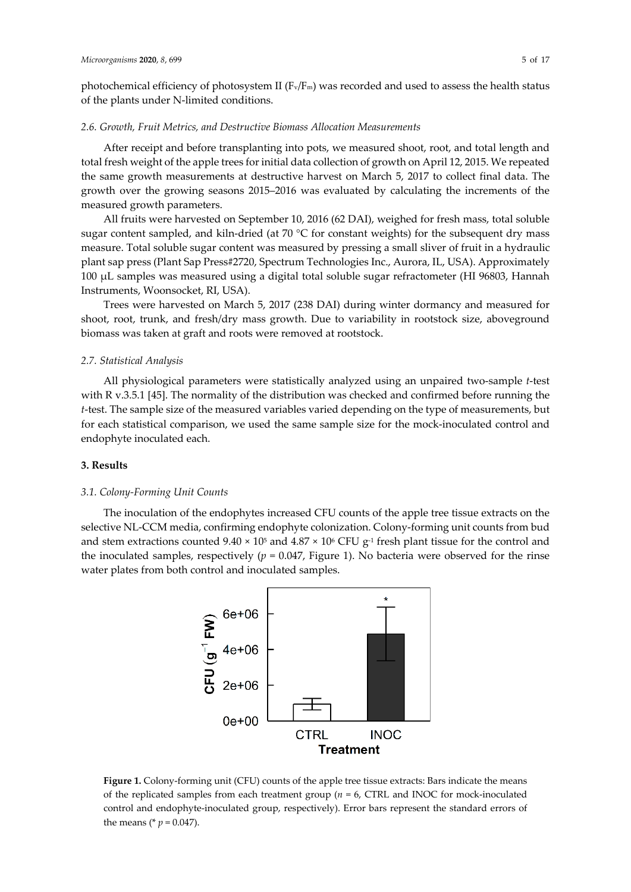photochemical efficiency of photosystem II ( $F_v/F_m$ ) was recorded and used to assess the health status of the plants under N-limited conditions.

#### *2.6. Growth, Fruit Metrics, and Destructive Biomass Allocation Measurements*

After receipt and before transplanting into pots, we measured shoot, root, and total length and total fresh weight of the apple trees for initial data collection of growth on April 12, 2015. We repeated the same growth measurements at destructive harvest on March 5, 2017 to collect final data. The growth over the growing seasons 2015–2016 was evaluated by calculating the increments of the measured growth parameters.

All fruits were harvested on September 10, 2016 (62 DAI), weighed for fresh mass, total soluble sugar content sampled, and kiln-dried (at 70  $^{\circ}$ C for constant weights) for the subsequent dry mass measure. Total soluble sugar content was measured by pressing a small sliver of fruit in a hydraulic plant sap press (Plant Sap Press#2720, Spectrum Technologies Inc., Aurora, IL, USA). Approximately 100 μL samples was measured using a digital total soluble sugar refractometer (HI 96803, Hannah Instruments, Woonsocket, RI, USA).

Trees were harvested on March 5, 2017 (238 DAI) during winter dormancy and measured for shoot, root, trunk, and fresh/dry mass growth. Due to variability in rootstock size, aboveground biomass was taken at graft and roots were removed at rootstock.

#### *2.7. Statistical Analysis*

All physiological parameters were statistically analyzed using an unpaired two-sample *t*-test with R v.3.5.1 [45]. The normality of the distribution was checked and confirmed before running the *t*-test. The sample size of the measured variables varied depending on the type of measurements, but for each statistical comparison, we used the same sample size for the mock-inoculated control and endophyte inoculated each.

#### **3. Results**

#### *3.1. Colony-Forming Unit Counts*

The inoculation of the endophytes increased CFU counts of the apple tree tissue extracts on the selective NL-CCM media, confirming endophyte colonization. Colony-forming unit counts from bud and stem extractions counted  $9.40 \times 10^5$  and  $4.87 \times 10^6$  CFU g<sup>-1</sup> fresh plant tissue for the control and the inoculated samples, respectively  $(p = 0.047,$  Figure 1). No bacteria were observed for the rinse water plates from both control and inoculated samples.



**Figure 1.** Colony-forming unit (CFU) counts of the apple tree tissue extracts: Bars indicate the means of the replicated samples from each treatment group (*n* = 6, CTRL and INOC for mock-inoculated control and endophyte-inoculated group, respectively). Error bars represent the standard errors of the means (\*  $p = 0.047$ ).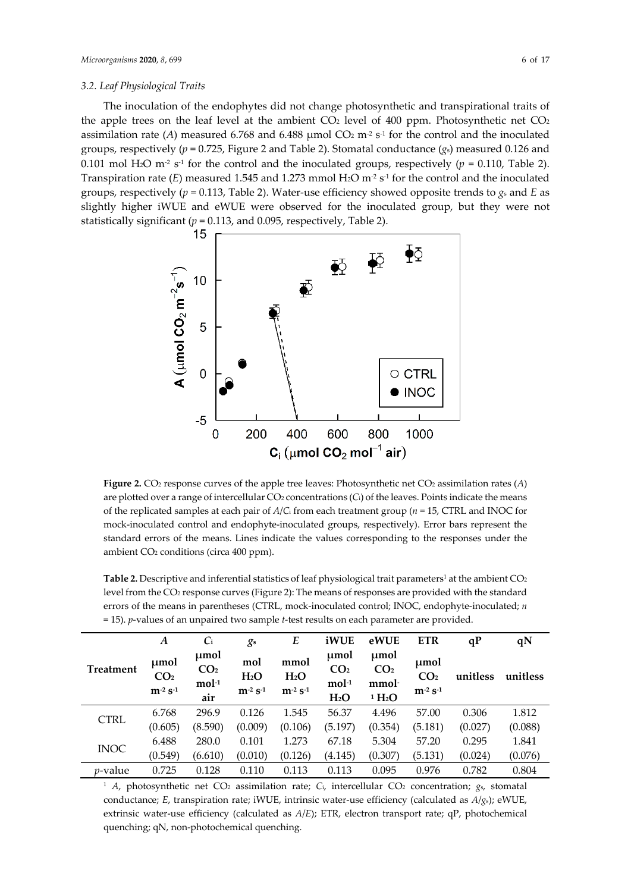#### *3.2. Leaf Physiological Traits*

The inoculation of the endophytes did not change photosynthetic and transpirational traits of the apple trees on the leaf level at the ambient  $CO<sub>2</sub>$  level of 400 ppm. Photosynthetic net  $CO<sub>2</sub>$ assimilation rate (A) measured 6.768 and 6.488  $\mu$ mol CO<sub>2</sub> m<sup>-2</sup> s<sup>-1</sup> for the control and the inoculated groups, respectively (*p* = 0.725, Figure 2 and Table 2). Stomatal conductance (*g*s) measured 0.126 and 0.101 mol H<sub>2</sub>O m<sup>-2</sup> s<sup>-1</sup> for the control and the inoculated groups, respectively ( $p = 0.110$ , Table 2). Transpiration rate (*E*) measured 1.545 and 1.273 mmol H<sub>2</sub>O m<sup>-2</sup> s<sup>-1</sup> for the control and the inoculated groups, respectively ( $p = 0.113$ , Table 2). Water-use efficiency showed opposite trends to  $g_s$  and *E* as slightly higher iWUE and eWUE were observed for the inoculated group, but they were not statistically significant ( $p = 0.113$ , and 0.095, respectively, Table 2).



**Figure 2.** CO2 response curves of the apple tree leaves: Photosynthetic net CO2 assimilation rates (*A*) are plotted over a range of intercellular CO<sub>2</sub> concentrations (C<sub>i</sub>) of the leaves. Points indicate the means of the replicated samples at each pair of *A*/*C*i from each treatment group (*n* = 15, CTRL and INOC for mock-inoculated control and endophyte-inoculated groups, respectively). Error bars represent the standard errors of the means. Lines indicate the values corresponding to the responses under the ambient CO2 conditions (circa 400 ppm).

**Table 2.** Descriptive and inferential statistics of leaf physiological trait parameters<sup>1</sup> at the ambient CO<sub>2</sub> level from the CO2 response curves (Figure 2): The means of responses are provided with the standard errors of the means in parentheses (CTRL, mock-inoculated control; INOC, endophyte-inoculated; *n* = 15). *p*-values of an unpaired two sample *t*-test results on each parameter are provided.

|                  | $\boldsymbol{A}$                           | $C_i$                                     | g <sub>s</sub>                       | E                                           | iWUE                                                   | eWUE                                                                    | <b>ETR</b>                                 | qP       | qN       |
|------------------|--------------------------------------------|-------------------------------------------|--------------------------------------|---------------------------------------------|--------------------------------------------------------|-------------------------------------------------------------------------|--------------------------------------------|----------|----------|
| <b>Treatment</b> | umol<br>CO <sub>2</sub><br>$m^{-2} s^{-1}$ | umol<br>CO <sub>2</sub><br>$mol-1$<br>air | mol<br>H <sub>2</sub> O<br>$m^2 s^1$ | mmol<br>H <sub>2</sub> O<br>$m^{-2} s^{-1}$ | umol<br>CO <sub>2</sub><br>$mol-1$<br>H <sub>2</sub> O | umol<br>CO <sub>2</sub><br>mmol <sup>-</sup><br>$1 \text{ H}_2\text{O}$ | µmol<br>CO <sub>2</sub><br>$m^{-2} s^{-1}$ | unitless | unitless |
| <b>CTRL</b>      | 6.768                                      | 296.9                                     | 0.126                                | 1.545                                       | 56.37                                                  | 4.496                                                                   | 57.00                                      | 0.306    | 1.812    |
|                  | (0.605)                                    | (8.590)                                   | (0.009)                              | (0.106)                                     | (5.197)                                                | (0.354)                                                                 | (5.181)                                    | (0.027)  | (0.088)  |
| <b>INOC</b>      | 6.488                                      | 280.0                                     | 0.101                                | 1.273                                       | 67.18                                                  | 5.304                                                                   | 57.20                                      | 0.295    | 1.841    |
|                  | (0.549)                                    | (6.610)                                   | (0.010)                              | (0.126)                                     | (4.145)                                                | (0.307)                                                                 | (5.131)                                    | (0.024)  | (0.076)  |
| <i>p</i> -value  | 0.725                                      | 0.128                                     | 0.110                                | 0.113                                       | 0.113                                                  | 0.095                                                                   | 0.976                                      | 0.782    | 0.804    |

<sup>1</sup> *A*, photosynthetic net CO<sub>2</sub> assimilation rate;  $C_i$ , intercellular CO<sub>2</sub> concentration;  $g<sub>s</sub>$ , stomatal conductance; *E*, transpiration rate; iWUE, intrinsic water-use efficiency (calculated as *A*/*g*s); eWUE, extrinsic water-use efficiency (calculated as *A*/*E*); ETR, electron transport rate; qP, photochemical quenching; qN, non-photochemical quenching.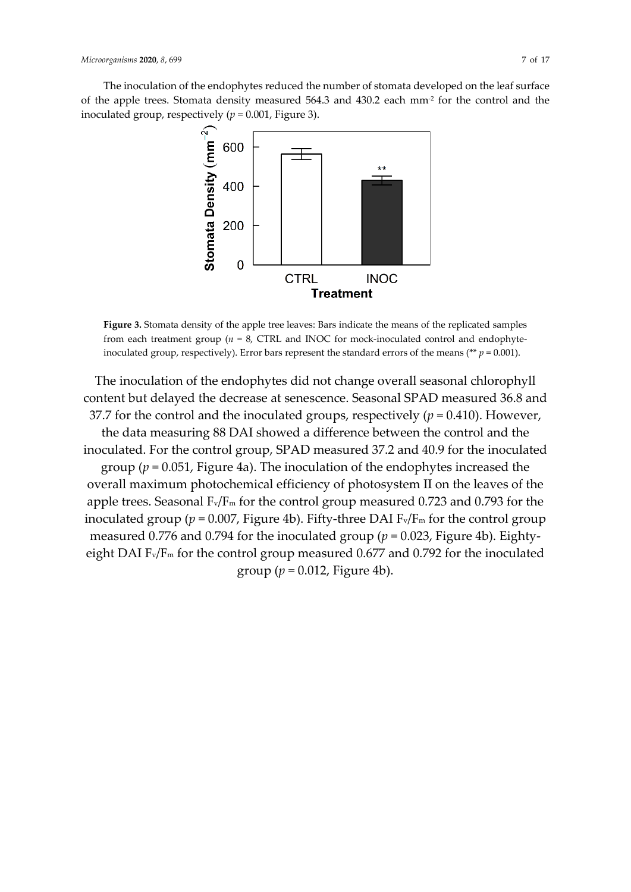The inoculation of the endophytes reduced the number of stomata developed on the leaf surface of the apple trees. Stomata density measured 564.3 and 430.2 each mm-2 for the control and the inoculated group, respectively  $(p = 0.001,$  Figure 3).



**Figure 3.** Stomata density of the apple tree leaves: Bars indicate the means of the replicated samples from each treatment group (*n* = 8, CTRL and INOC for mock-inoculated control and endophyteinoculated group, respectively). Error bars represent the standard errors of the means ( $**$   $p = 0.001$ ).

The inoculation of the endophytes did not change overall seasonal chlorophyll content but delayed the decrease at senescence. Seasonal SPAD measured 36.8 and 37.7 for the control and the inoculated groups, respectively  $(p = 0.410)$ . However, the data measuring 88 DAI showed a difference between the control and the inoculated. For the control group, SPAD measured 37.2 and 40.9 for the inoculated group (*p* = 0.051, Figure 4a). The inoculation of the endophytes increased the overall maximum photochemical efficiency of photosystem II on the leaves of the apple trees. Seasonal  $F_v/F_m$  for the control group measured 0.723 and 0.793 for the inoculated group ( $p = 0.007$ , Figure 4b). Fifty-three DAI  $F_v/F_m$  for the control group measured 0.776 and 0.794 for the inoculated group ( $p = 0.023$ , Figure 4b). Eightyeight DAI Fv/Fm for the control group measured 0.677 and 0.792 for the inoculated group ( $p = 0.012$ , Figure 4b).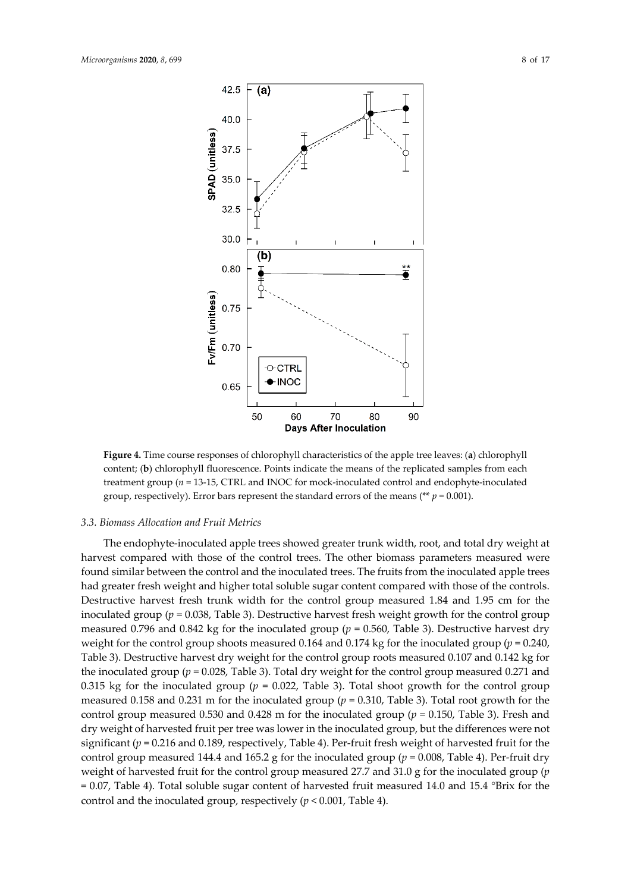



**Figure 4.** Time course responses of chlorophyll characteristics of the apple tree leaves: (**a**) chlorophyll content; (**b**) chlorophyll fluorescence. Points indicate the means of the replicated samples from each treatment group (*n* = 13-15, CTRL and INOC for mock-inoculated control and endophyte-inoculated group, respectively). Error bars represent the standard errors of the means ( $*$  *p* = 0.001).

## *3.3. Biomass Allocation and Fruit Metrics*

The endophyte-inoculated apple trees showed greater trunk width, root, and total dry weight at harvest compared with those of the control trees. The other biomass parameters measured were found similar between the control and the inoculated trees. The fruits from the inoculated apple trees had greater fresh weight and higher total soluble sugar content compared with those of the controls. Destructive harvest fresh trunk width for the control group measured 1.84 and 1.95 cm for the inoculated group ( $p = 0.038$ , Table 3). Destructive harvest fresh weight growth for the control group measured 0.796 and 0.842 kg for the inoculated group ( $p = 0.560$ , Table 3). Destructive harvest dry weight for the control group shoots measured 0.164 and 0.174 kg for the inoculated group ( $p = 0.240$ , Table 3). Destructive harvest dry weight for the control group roots measured 0.107 and 0.142 kg for the inoculated group (*p* = 0.028, Table 3). Total dry weight for the control group measured 0.271 and 0.315 kg for the inoculated group ( $p = 0.022$ , Table 3). Total shoot growth for the control group measured 0.158 and 0.231 m for the inoculated group (*p* = 0.310, Table 3). Total root growth for the control group measured 0.530 and 0.428 m for the inoculated group ( $p = 0.150$ , Table 3). Fresh and dry weight of harvested fruit per tree was lower in the inoculated group, but the differences were not significant (*p* = 0.216 and 0.189, respectively, Table 4). Per-fruit fresh weight of harvested fruit for the control group measured 144.4 and 165.2 g for the inoculated group ( $p = 0.008$ , Table 4). Per-fruit dry weight of harvested fruit for the control group measured 27.7 and 31.0 g for the inoculated group (*p*  $= 0.07$ , Table 4). Total soluble sugar content of harvested fruit measured 14.0 and 15.4 °Brix for the control and the inoculated group, respectively (*p* < 0.001, Table 4).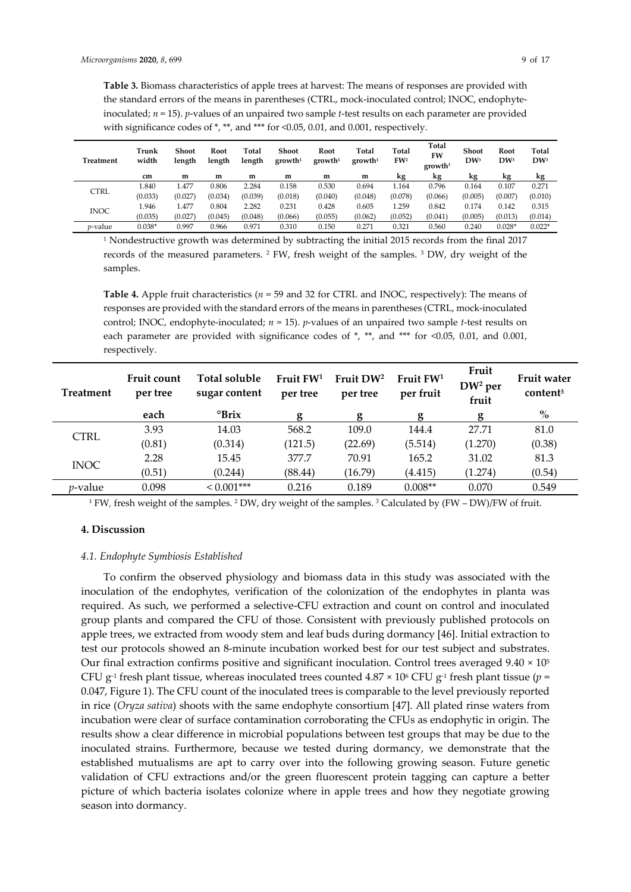**Table 3.** Biomass characteristics of apple trees at harvest: The means of responses are provided with the standard errors of the means in parentheses (CTRL, mock-inoculated control; INOC, endophyteinoculated; *n* = 15). *p*-values of an unpaired two sample *t*-test results on each parameter are provided with significance codes of  $*$ ,  $**$ , and  $***$  for <0.05, 0.01, and 0.001, respectively.

| Treatment       | Trunk<br>width | Shoot<br>length | Root<br>length | Total<br>length | <b>Shoot</b><br>growth <sup>1</sup> | Root<br>growth <sup>1</sup> | Total<br>growth <sup>1</sup> | Total<br>FW <sup>2</sup> | Total<br>FW<br>growth <sup>1</sup> | Shoot<br>$DW^3$ | Root<br>$DW^3$ | Total<br>$DW^3$ |
|-----------------|----------------|-----------------|----------------|-----------------|-------------------------------------|-----------------------------|------------------------------|--------------------------|------------------------------------|-----------------|----------------|-----------------|
|                 | cm             | m               | m              | m               | m                                   | m                           | m                            | kg                       | kg                                 | kg              | kg             | kg              |
| <b>CTRL</b>     | 1.840          | 1.477           | 0.806          | 2.284           | 0.158                               | 0.530                       | 0.694                        | 1.164                    | 0.796                              | 0.164           | 0.107          | 0.271           |
|                 | (0.033)        | (0.027)         | (0.034)        | (0.039)         | (0.018)                             | (0.040)                     | (0.048)                      | (0.078)                  | (0.066)                            | (0.005)         | (0.007)        | (0.010)         |
| <b>INOC</b>     | 1.946          | 1.477           | 0.804          | 2.282           | 0.231                               | 0.428                       | 0.605                        | 1.259                    | 0.842                              | 0.174           | 0.142          | 0.315           |
|                 | (0.035)        | (0.027)         | (0.045)        | (0.048)         | (0.066)                             | (0.055)                     | (0.062)                      | (0.052)                  | (0.041)                            | (0.005)         | (0.013)        | (0.014)         |
| <i>p</i> -value | $0.038*$       | 0.997           | 0.966          | 0.971           | 0.310                               | 0.150                       | 0.271                        | 0.321                    | 0.560                              | 0.240           | $0.028*$       | $0.022*$        |

1 Nondestructive growth was determined by subtracting the initial 2015 records from the final 2017 records of the measured parameters. 2 FW, fresh weight of the samples. 3 DW, dry weight of the samples.

**Table 4.** Apple fruit characteristics (*n* = 59 and 32 for CTRL and INOC, respectively): The means of responses are provided with the standard errors of the means in parentheses (CTRL, mock-inoculated control; INOC, endophyte-inoculated; *n* = 15). *p*-values of an unpaired two sample *t*-test results on each parameter are provided with significance codes of  $*$ ,  $**$ , and  $***$  for <0.05, 0.01, and 0.001, respectively.

| <b>Treatment</b> | <b>Fruit count</b><br>per tree | Total soluble<br>sugar content | Fruit FW <sup>1</sup><br>per tree | Fruit DW <sup>2</sup><br>per tree | Fruit FW <sup>1</sup><br>per fruit | Fruit<br>$DW^2$ per<br>fruit | <b>Fruit water</b><br>content <sup>3</sup> |  |
|------------------|--------------------------------|--------------------------------|-----------------------------------|-----------------------------------|------------------------------------|------------------------------|--------------------------------------------|--|
|                  | each                           | $\mathrm{Prix}$                | g                                 | g                                 | g                                  | g                            | $\%$                                       |  |
| <b>CTRL</b>      | 3.93                           | 14.03                          | 568.2                             | 109.0                             | 144.4                              | 27.71                        | 81.0                                       |  |
|                  | (0.81)                         | (0.314)                        | (121.5)                           | (22.69)                           | (5.514)                            | (1.270)                      | (0.38)                                     |  |
| <b>INOC</b>      | 2.28                           | 15.45                          | 377.7                             | 70.91                             | 165.2                              | 31.02                        | 81.3                                       |  |
|                  | (0.51)                         | (0.244)                        | (88.44)                           | (16.79)                           | (4.415)                            | (1.274)                      | (0.54)                                     |  |
| $p$ -value       | 0.098                          | $< 0.001$ ***                  | 0.216                             | 0.189                             | $0.008**$                          | 0.070                        | 0.549                                      |  |

 $1$  FW, fresh weight of the samples.  $2$  DW, dry weight of the samples.  $3$  Calculated by (FW – DW)/FW of fruit.

## **4. Discussion**

#### *4.1. Endophyte Symbiosis Established*

To confirm the observed physiology and biomass data in this study was associated with the inoculation of the endophytes, verification of the colonization of the endophytes in planta was required. As such, we performed a selective-CFU extraction and count on control and inoculated group plants and compared the CFU of those. Consistent with previously published protocols on apple trees, we extracted from woody stem and leaf buds during dormancy [46]. Initial extraction to test our protocols showed an 8-minute incubation worked best for our test subject and substrates. Our final extraction confirms positive and significant inoculation. Control trees averaged  $9.40 \times 10^5$ CFU g<sup>-1</sup> fresh plant tissue, whereas inoculated trees counted  $4.87 \times 10^6$  CFU g<sup>-1</sup> fresh plant tissue (*p* = 0.047, Figure 1). The CFU count of the inoculated trees is comparable to the level previously reported in rice (*Oryza sativa*) shoots with the same endophyte consortium [47]. All plated rinse waters from incubation were clear of surface contamination corroborating the CFUs as endophytic in origin. The results show a clear difference in microbial populations between test groups that may be due to the inoculated strains. Furthermore, because we tested during dormancy, we demonstrate that the established mutualisms are apt to carry over into the following growing season. Future genetic validation of CFU extractions and/or the green fluorescent protein tagging can capture a better picture of which bacteria isolates colonize where in apple trees and how they negotiate growing season into dormancy.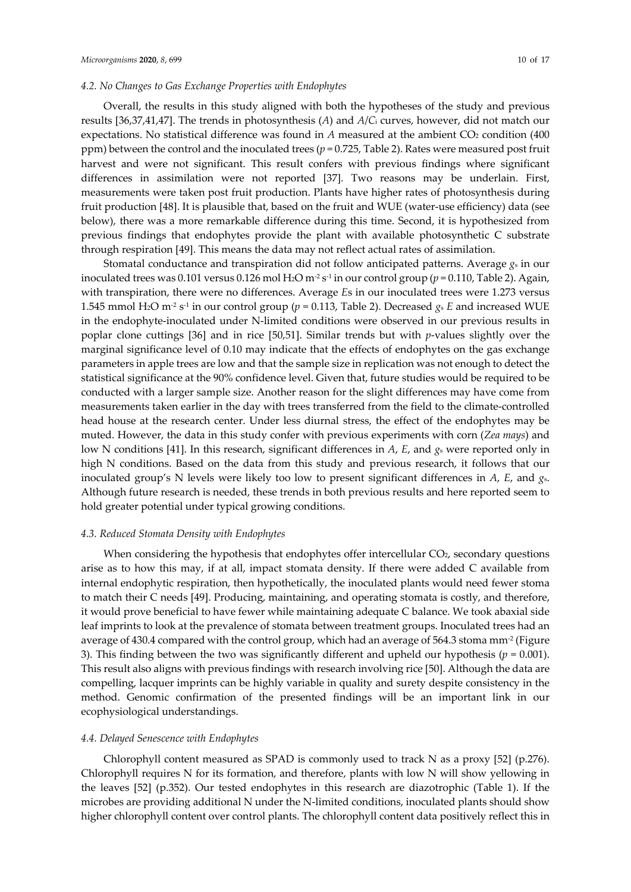### *4.2. No Changes to Gas Exchange Properties with Endophytes*

Overall, the results in this study aligned with both the hypotheses of the study and previous results [36,37,41,47]. The trends in photosynthesis (*A*) and *A*/*C*i curves, however, did not match our expectations. No statistical difference was found in  $A$  measured at the ambient  $CO<sub>2</sub>$  condition (400) ppm) between the control and the inoculated trees (*p* = 0.725, Table 2). Rates were measured post fruit harvest and were not significant. This result confers with previous findings where significant differences in assimilation were not reported [37]. Two reasons may be underlain. First, measurements were taken post fruit production. Plants have higher rates of photosynthesis during fruit production [48]. It is plausible that, based on the fruit and WUE (water-use efficiency) data (see below), there was a more remarkable difference during this time. Second, it is hypothesized from previous findings that endophytes provide the plant with available photosynthetic C substrate through respiration [49]. This means the data may not reflect actual rates of assimilation.

Stomatal conductance and transpiration did not follow anticipated patterns. Average *g*s in our inoculated trees was 0.101 versus 0.126 mol H<sub>2</sub>O m<sup>-2</sup> s<sup>-1</sup> in our control group ( $p = 0.110$ , Table 2). Again, with transpiration, there were no differences. Average *E*s in our inoculated trees were 1.273 versus 1.545 mmol H2O m-2 s-1 in our control group (*p* = 0.113, Table 2). Decreased *g*<sup>s</sup> *E* and increased WUE in the endophyte-inoculated under N-limited conditions were observed in our previous results in poplar clone cuttings [36] and in rice [50,51]. Similar trends but with *p*-values slightly over the marginal significance level of 0.10 may indicate that the effects of endophytes on the gas exchange parameters in apple trees are low and that the sample size in replication was not enough to detect the statistical significance at the 90% confidence level. Given that, future studies would be required to be conducted with a larger sample size. Another reason for the slight differences may have come from measurements taken earlier in the day with trees transferred from the field to the climate-controlled head house at the research center. Under less diurnal stress, the effect of the endophytes may be muted. However, the data in this study confer with previous experiments with corn (*Zea mays*) and low N conditions [41]. In this research, significant differences in *A*, *E*, and *g*s were reported only in high N conditions. Based on the data from this study and previous research, it follows that our inoculated group's N levels were likely too low to present significant differences in *A*, *E*, and *g*s. Although future research is needed, these trends in both previous results and here reported seem to hold greater potential under typical growing conditions.

#### *4.3. Reduced Stomata Density with Endophytes*

When considering the hypothesis that endophytes offer intercellular CO<sub>2</sub>, secondary questions arise as to how this may, if at all, impact stomata density. If there were added C available from internal endophytic respiration, then hypothetically, the inoculated plants would need fewer stoma to match their C needs [49]. Producing, maintaining, and operating stomata is costly, and therefore, it would prove beneficial to have fewer while maintaining adequate C balance. We took abaxial side leaf imprints to look at the prevalence of stomata between treatment groups. Inoculated trees had an average of 430.4 compared with the control group, which had an average of 564.3 stoma mm<sup>-2</sup> (Figure 3). This finding between the two was significantly different and upheld our hypothesis ( $p = 0.001$ ). This result also aligns with previous findings with research involving rice [50]. Although the data are compelling, lacquer imprints can be highly variable in quality and surety despite consistency in the method. Genomic confirmation of the presented findings will be an important link in our ecophysiological understandings.

#### *4.4. Delayed Senescence with Endophytes*

Chlorophyll content measured as SPAD is commonly used to track N as a proxy [52] (p.276). Chlorophyll requires N for its formation, and therefore, plants with low N will show yellowing in the leaves [52] (p.352). Our tested endophytes in this research are diazotrophic (Table 1). If the microbes are providing additional N under the N-limited conditions, inoculated plants should show higher chlorophyll content over control plants. The chlorophyll content data positively reflect this in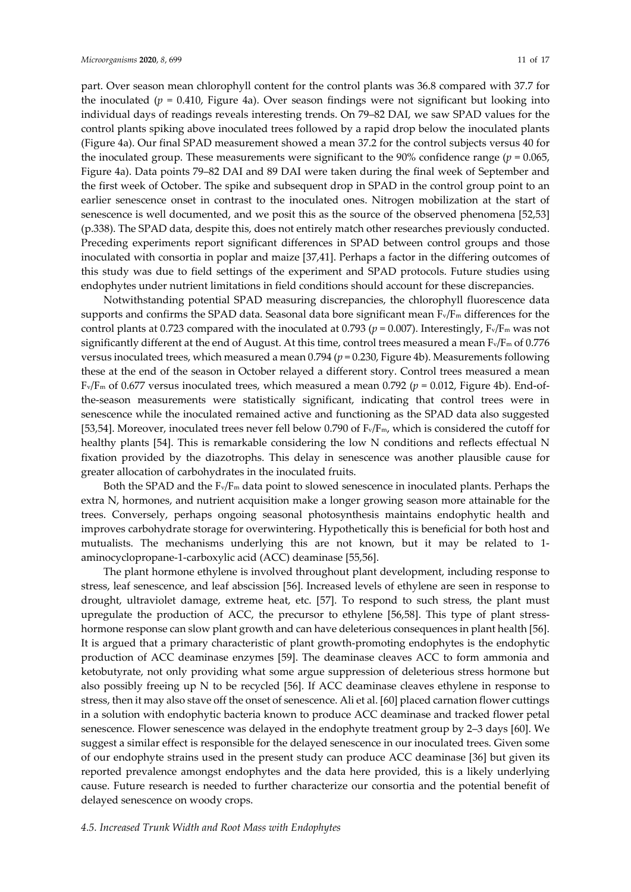part. Over season mean chlorophyll content for the control plants was 36.8 compared with 37.7 for the inoculated  $(p = 0.410,$  Figure 4a). Over season findings were not significant but looking into individual days of readings reveals interesting trends. On 79–82 DAI, we saw SPAD values for the control plants spiking above inoculated trees followed by a rapid drop below the inoculated plants (Figure 4a). Our final SPAD measurement showed a mean 37.2 for the control subjects versus 40 for the inoculated group. These measurements were significant to the 90% confidence range ( $p = 0.065$ ) Figure 4a). Data points 79–82 DAI and 89 DAI were taken during the final week of September and the first week of October. The spike and subsequent drop in SPAD in the control group point to an earlier senescence onset in contrast to the inoculated ones. Nitrogen mobilization at the start of senescence is well documented, and we posit this as the source of the observed phenomena [52,53] (p.338). The SPAD data, despite this, does not entirely match other researches previously conducted. Preceding experiments report significant differences in SPAD between control groups and those inoculated with consortia in poplar and maize [37,41]. Perhaps a factor in the differing outcomes of this study was due to field settings of the experiment and SPAD protocols. Future studies using endophytes under nutrient limitations in field conditions should account for these discrepancies.

Notwithstanding potential SPAD measuring discrepancies, the chlorophyll fluorescence data supports and confirms the SPAD data. Seasonal data bore significant mean  $F_v/F_m$  differences for the control plants at 0.723 compared with the inoculated at 0.793 ( $p = 0.007$ ). Interestingly,  $F_v/F_m$  was not significantly different at the end of August. At this time, control trees measured a mean  $F_v/F_m$  of 0.776 versus inoculated trees, which measured a mean 0.794 (*p* = 0.230, Figure 4b). Measurements following these at the end of the season in October relayed a different story. Control trees measured a mean  $F_v/F_m$  of 0.677 versus inoculated trees, which measured a mean 0.792 ( $p = 0.012$ , Figure 4b). End-ofthe-season measurements were statistically significant, indicating that control trees were in senescence while the inoculated remained active and functioning as the SPAD data also suggested [53,54]. Moreover, inoculated trees never fell below 0.790 of Fv/Fm, which is considered the cutoff for healthy plants [54]. This is remarkable considering the low N conditions and reflects effectual N fixation provided by the diazotrophs. This delay in senescence was another plausible cause for greater allocation of carbohydrates in the inoculated fruits.

Both the SPAD and the  $F_v/F_m$  data point to slowed senescence in inoculated plants. Perhaps the extra N, hormones, and nutrient acquisition make a longer growing season more attainable for the trees. Conversely, perhaps ongoing seasonal photosynthesis maintains endophytic health and improves carbohydrate storage for overwintering. Hypothetically this is beneficial for both host and mutualists. The mechanisms underlying this are not known, but it may be related to 1 aminocyclopropane-1-carboxylic acid (ACC) deaminase [55,56].

The plant hormone ethylene is involved throughout plant development, including response to stress, leaf senescence, and leaf abscission [56]. Increased levels of ethylene are seen in response to drought, ultraviolet damage, extreme heat, etc. [57]. To respond to such stress, the plant must upregulate the production of ACC, the precursor to ethylene [56,58]. This type of plant stresshormone response can slow plant growth and can have deleterious consequences in plant health [56]. It is argued that a primary characteristic of plant growth-promoting endophytes is the endophytic production of ACC deaminase enzymes [59]. The deaminase cleaves ACC to form ammonia and ketobutyrate, not only providing what some argue suppression of deleterious stress hormone but also possibly freeing up N to be recycled [56]. If ACC deaminase cleaves ethylene in response to stress, then it may also stave off the onset of senescence. Ali et al. [60] placed carnation flower cuttings in a solution with endophytic bacteria known to produce ACC deaminase and tracked flower petal senescence. Flower senescence was delayed in the endophyte treatment group by 2–3 days [60]. We suggest a similar effect is responsible for the delayed senescence in our inoculated trees. Given some of our endophyte strains used in the present study can produce ACC deaminase [36] but given its reported prevalence amongst endophytes and the data here provided, this is a likely underlying cause. Future research is needed to further characterize our consortia and the potential benefit of delayed senescence on woody crops.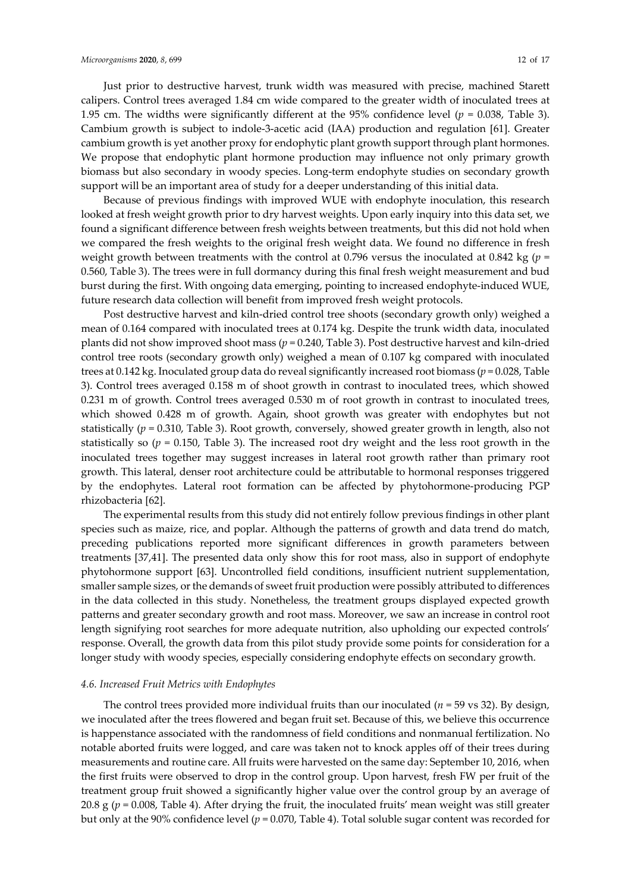#### *Microorganisms* **2020**, *8*, 699 12 of 17

Just prior to destructive harvest, trunk width was measured with precise, machined Starett calipers. Control trees averaged 1.84 cm wide compared to the greater width of inoculated trees at 1.95 cm. The widths were significantly different at the 95% confidence level (*p* = 0.038, Table 3). Cambium growth is subject to indole-3-acetic acid (IAA) production and regulation [61]. Greater cambium growth is yet another proxy for endophytic plant growth support through plant hormones. We propose that endophytic plant hormone production may influence not only primary growth biomass but also secondary in woody species. Long-term endophyte studies on secondary growth support will be an important area of study for a deeper understanding of this initial data.

Because of previous findings with improved WUE with endophyte inoculation, this research looked at fresh weight growth prior to dry harvest weights. Upon early inquiry into this data set, we found a significant difference between fresh weights between treatments, but this did not hold when we compared the fresh weights to the original fresh weight data. We found no difference in fresh weight growth between treatments with the control at 0.796 versus the inoculated at 0.842 kg (*p* = 0.560, Table 3). The trees were in full dormancy during this final fresh weight measurement and bud burst during the first. With ongoing data emerging, pointing to increased endophyte-induced WUE, future research data collection will benefit from improved fresh weight protocols.

Post destructive harvest and kiln-dried control tree shoots (secondary growth only) weighed a mean of 0.164 compared with inoculated trees at 0.174 kg. Despite the trunk width data, inoculated plants did not show improved shoot mass (*p* = 0.240, Table 3). Post destructive harvest and kiln-dried control tree roots (secondary growth only) weighed a mean of 0.107 kg compared with inoculated trees at 0.142 kg. Inoculated group data do reveal significantly increased root biomass (*p* = 0.028, Table 3). Control trees averaged 0.158 m of shoot growth in contrast to inoculated trees, which showed 0.231 m of growth. Control trees averaged 0.530 m of root growth in contrast to inoculated trees, which showed 0.428 m of growth. Again, shoot growth was greater with endophytes but not statistically (*p* = 0.310, Table 3). Root growth, conversely, showed greater growth in length, also not statistically so  $(p = 0.150,$  Table 3). The increased root dry weight and the less root growth in the inoculated trees together may suggest increases in lateral root growth rather than primary root growth. This lateral, denser root architecture could be attributable to hormonal responses triggered by the endophytes. Lateral root formation can be affected by phytohormone-producing PGP rhizobacteria [62].

The experimental results from this study did not entirely follow previous findings in other plant species such as maize, rice, and poplar. Although the patterns of growth and data trend do match, preceding publications reported more significant differences in growth parameters between treatments [37,41]. The presented data only show this for root mass, also in support of endophyte phytohormone support [63]. Uncontrolled field conditions, insufficient nutrient supplementation, smaller sample sizes, or the demands of sweet fruit production were possibly attributed to differences in the data collected in this study. Nonetheless, the treatment groups displayed expected growth patterns and greater secondary growth and root mass. Moreover, we saw an increase in control root length signifying root searches for more adequate nutrition, also upholding our expected controls' response. Overall, the growth data from this pilot study provide some points for consideration for a longer study with woody species, especially considering endophyte effects on secondary growth.

#### *4.6. Increased Fruit Metrics with Endophytes*

The control trees provided more individual fruits than our inoculated (*n* = 59 vs 32). By design, we inoculated after the trees flowered and began fruit set. Because of this, we believe this occurrence is happenstance associated with the randomness of field conditions and nonmanual fertilization. No notable aborted fruits were logged, and care was taken not to knock apples off of their trees during measurements and routine care. All fruits were harvested on the same day: September 10, 2016, when the first fruits were observed to drop in the control group. Upon harvest, fresh FW per fruit of the treatment group fruit showed a significantly higher value over the control group by an average of 20.8 g ( $p = 0.008$ , Table 4). After drying the fruit, the inoculated fruits' mean weight was still greater but only at the 90% confidence level (*p* = 0.070, Table 4). Total soluble sugar content was recorded for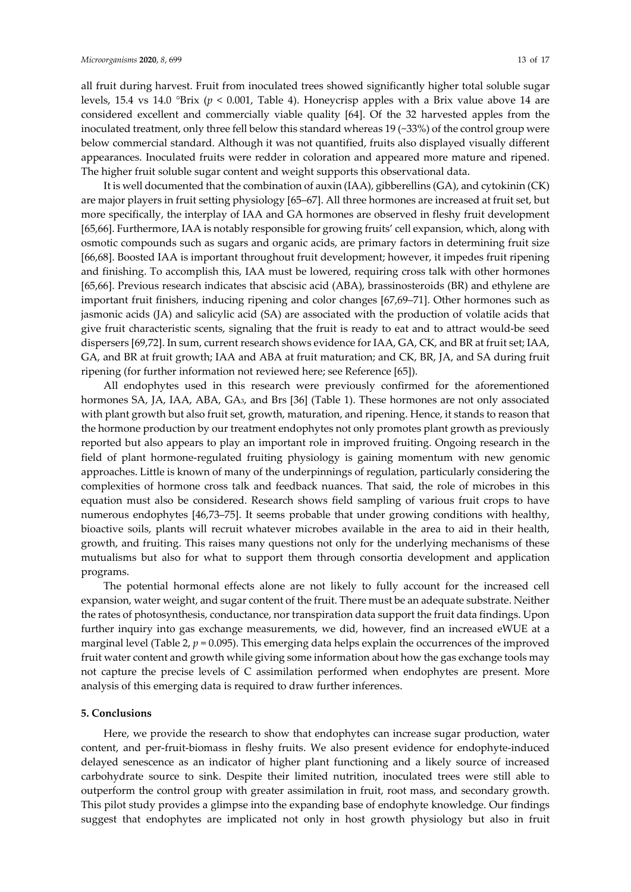all fruit during harvest. Fruit from inoculated trees showed significantly higher total soluble sugar levels, 15.4 vs 14.0 °Brix ( $p < 0.001$ , Table 4). Honeycrisp apples with a Brix value above 14 are considered excellent and commercially viable quality [64]. Of the 32 harvested apples from the inoculated treatment, only three fell below this standard whereas 19 (~33%) of the control group were below commercial standard. Although it was not quantified, fruits also displayed visually different appearances. Inoculated fruits were redder in coloration and appeared more mature and ripened. The higher fruit soluble sugar content and weight supports this observational data.

It is well documented that the combination of auxin (IAA), gibberellins (GA), and cytokinin (CK) are major players in fruit setting physiology [65–67]. All three hormones are increased at fruit set, but more specifically, the interplay of IAA and GA hormones are observed in fleshy fruit development [65,66]. Furthermore, IAA is notably responsible for growing fruits' cell expansion, which, along with osmotic compounds such as sugars and organic acids, are primary factors in determining fruit size [66,68]. Boosted IAA is important throughout fruit development; however, it impedes fruit ripening and finishing. To accomplish this, IAA must be lowered, requiring cross talk with other hormones [65,66]. Previous research indicates that abscisic acid (ABA), brassinosteroids (BR) and ethylene are important fruit finishers, inducing ripening and color changes [67,69–71]. Other hormones such as jasmonic acids (JA) and salicylic acid (SA) are associated with the production of volatile acids that give fruit characteristic scents, signaling that the fruit is ready to eat and to attract would-be seed dispersers [69,72]. In sum, current research shows evidence for IAA, GA, CK, and BR at fruit set; IAA, GA, and BR at fruit growth; IAA and ABA at fruit maturation; and CK, BR, JA, and SA during fruit ripening (for further information not reviewed here; see Reference [65]).

All endophytes used in this research were previously confirmed for the aforementioned hormones SA, JA, IAA, ABA, GA3, and Brs [36] (Table 1). These hormones are not only associated with plant growth but also fruit set, growth, maturation, and ripening. Hence, it stands to reason that the hormone production by our treatment endophytes not only promotes plant growth as previously reported but also appears to play an important role in improved fruiting. Ongoing research in the field of plant hormone-regulated fruiting physiology is gaining momentum with new genomic approaches. Little is known of many of the underpinnings of regulation, particularly considering the complexities of hormone cross talk and feedback nuances. That said, the role of microbes in this equation must also be considered. Research shows field sampling of various fruit crops to have numerous endophytes [46,73–75]. It seems probable that under growing conditions with healthy, bioactive soils, plants will recruit whatever microbes available in the area to aid in their health, growth, and fruiting. This raises many questions not only for the underlying mechanisms of these mutualisms but also for what to support them through consortia development and application programs.

The potential hormonal effects alone are not likely to fully account for the increased cell expansion, water weight, and sugar content of the fruit. There must be an adequate substrate. Neither the rates of photosynthesis, conductance, nor transpiration data support the fruit data findings. Upon further inquiry into gas exchange measurements, we did, however, find an increased eWUE at a marginal level (Table 2,  $p = 0.095$ ). This emerging data helps explain the occurrences of the improved fruit water content and growth while giving some information about how the gas exchange tools may not capture the precise levels of C assimilation performed when endophytes are present. More analysis of this emerging data is required to draw further inferences.

#### **5. Conclusions**

Here, we provide the research to show that endophytes can increase sugar production, water content, and per-fruit-biomass in fleshy fruits. We also present evidence for endophyte-induced delayed senescence as an indicator of higher plant functioning and a likely source of increased carbohydrate source to sink. Despite their limited nutrition, inoculated trees were still able to outperform the control group with greater assimilation in fruit, root mass, and secondary growth. This pilot study provides a glimpse into the expanding base of endophyte knowledge. Our findings suggest that endophytes are implicated not only in host growth physiology but also in fruit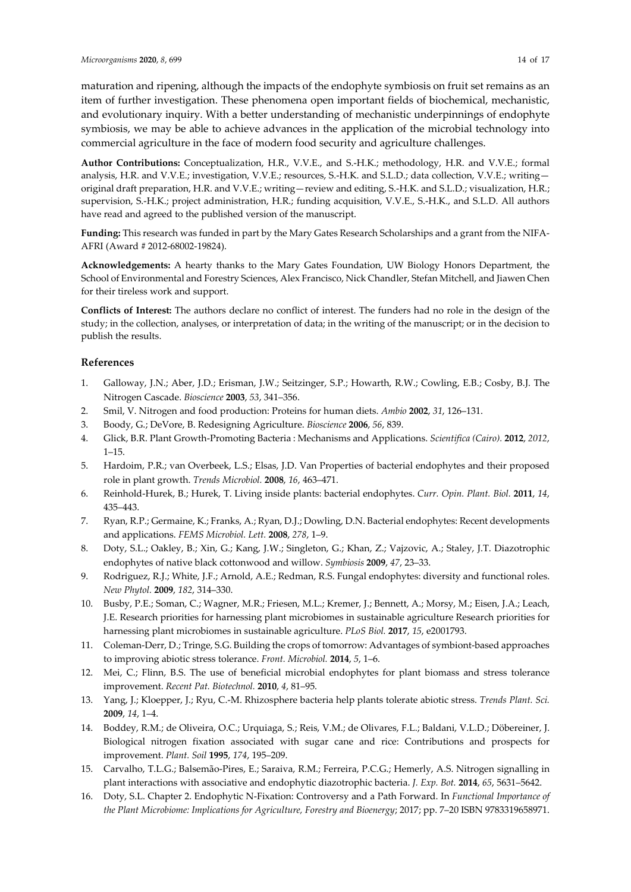maturation and ripening, although the impacts of the endophyte symbiosis on fruit set remains as an item of further investigation. These phenomena open important fields of biochemical, mechanistic, and evolutionary inquiry. With a better understanding of mechanistic underpinnings of endophyte symbiosis, we may be able to achieve advances in the application of the microbial technology into commercial agriculture in the face of modern food security and agriculture challenges.

**Author Contributions:** Conceptualization, H.R., V.V.E., and S.-H.K.; methodology, H.R. and V.V.E.; formal analysis, H.R. and V.V.E.; investigation, V.V.E.; resources, S.-H.K. and S.L.D.; data collection, V.V.E.; writing original draft preparation, H.R. and V.V.E.; writing—review and editing, S.-H.K. and S.L.D.; visualization, H.R.; supervision, S.-H.K.; project administration, H.R.; funding acquisition, V.V.E., S.-H.K., and S.L.D. All authors have read and agreed to the published version of the manuscript.

**Funding:** This research was funded in part by the Mary Gates Research Scholarships and a grant from the NIFA-AFRI (Award # 2012-68002-19824).

**Acknowledgements:** A hearty thanks to the Mary Gates Foundation, UW Biology Honors Department, the School of Environmental and Forestry Sciences, Alex Francisco, Nick Chandler, Stefan Mitchell, and Jiawen Chen for their tireless work and support.

**Conflicts of Interest:** The authors declare no conflict of interest. The funders had no role in the design of the study; in the collection, analyses, or interpretation of data; in the writing of the manuscript; or in the decision to publish the results.

### **References**

- 1. Galloway, J.N.; Aber, J.D.; Erisman, J.W.; Seitzinger, S.P.; Howarth, R.W.; Cowling, E.B.; Cosby, B.J. The Nitrogen Cascade. *Bioscience* **2003**, *53*, 341–356.
- 2. Smil, V. Nitrogen and food production: Proteins for human diets. *Ambio* **2002**, *31*, 126–131.
- 3. Boody, G.; DeVore, B. Redesigning Agriculture. *Bioscience* **2006**, *56*, 839.
- 4. Glick, B.R. Plant Growth-Promoting Bacteria : Mechanisms and Applications. *Scientifica (Cairo).* **2012**, *2012*, 1–15.
- 5. Hardoim, P.R.; van Overbeek, L.S.; Elsas, J.D. Van Properties of bacterial endophytes and their proposed role in plant growth. *Trends Microbiol.* **2008**, *16*, 463–471.
- 6. Reinhold-Hurek, B.; Hurek, T. Living inside plants: bacterial endophytes. *Curr. Opin. Plant. Biol.* **2011**, *14*, 435–443.
- 7. Ryan, R.P.; Germaine, K.; Franks, A.; Ryan, D.J.; Dowling, D.N. Bacterial endophytes: Recent developments and applications. *FEMS Microbiol. Lett.* **2008**, *278*, 1–9.
- 8. Doty, S.L.; Oakley, B.; Xin, G.; Kang, J.W.; Singleton, G.; Khan, Z.; Vajzovic, A.; Staley, J.T. Diazotrophic endophytes of native black cottonwood and willow. *Symbiosis* **2009**, *47*, 23–33.
- 9. Rodriguez, R.J.; White, J.F.; Arnold, A.E.; Redman, R.S. Fungal endophytes: diversity and functional roles. *New Phytol.* **2009**, *182*, 314–330.
- 10. Busby, P.E.; Soman, C.; Wagner, M.R.; Friesen, M.L.; Kremer, J.; Bennett, A.; Morsy, M.; Eisen, J.A.; Leach, J.E. Research priorities for harnessing plant microbiomes in sustainable agriculture Research priorities for harnessing plant microbiomes in sustainable agriculture. *PLoS Biol.* **2017**, *15*, e2001793.
- 11. Coleman-Derr, D.; Tringe, S.G. Building the crops of tomorrow: Advantages of symbiont-based approaches to improving abiotic stress tolerance. *Front. Microbiol.* **2014**, *5*, 1–6.
- 12. Mei, C.; Flinn, B.S. The use of beneficial microbial endophytes for plant biomass and stress tolerance improvement. *Recent Pat. Biotechnol.* **2010**, *4*, 81–95.
- 13. Yang, J.; Kloepper, J.; Ryu, C.-M. Rhizosphere bacteria help plants tolerate abiotic stress. *Trends Plant. Sci.* **2009**, *14*, 1–4.
- 14. Boddey, R.M.; de Oliveira, O.C.; Urquiaga, S.; Reis, V.M.; de Olivares, F.L.; Baldani, V.L.D.; Döbereiner, J. Biological nitrogen fixation associated with sugar cane and rice: Contributions and prospects for improvement. *Plant. Soil* **1995**, *174*, 195–209.
- 15. Carvalho, T.L.G.; Balsemão-Pires, E.; Saraiva, R.M.; Ferreira, P.C.G.; Hemerly, A.S. Nitrogen signalling in plant interactions with associative and endophytic diazotrophic bacteria. *J. Exp. Bot.* **2014**, *65*, 5631–5642.
- 16. Doty, S.L. Chapter 2. Endophytic N-Fixation: Controversy and a Path Forward. In *Functional Importance of the Plant Microbiome: Implications for Agriculture, Forestry and Bioenergy*; 2017; pp. 7–20 ISBN 9783319658971.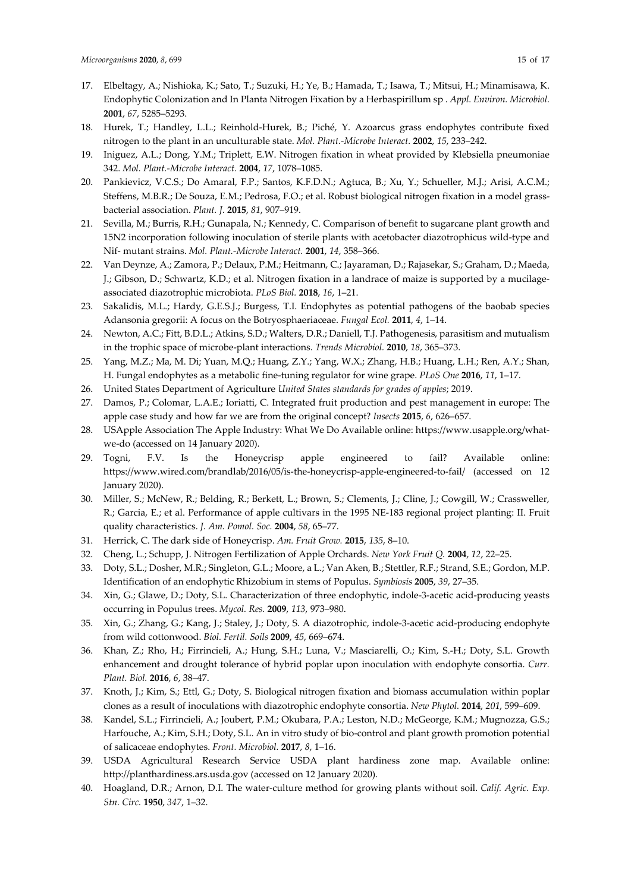- 17. Elbeltagy, A.; Nishioka, K.; Sato, T.; Suzuki, H.; Ye, B.; Hamada, T.; Isawa, T.; Mitsui, H.; Minamisawa, K. Endophytic Colonization and In Planta Nitrogen Fixation by a Herbaspirillum sp . *Appl. Environ. Microbiol.* **2001**, *67*, 5285–5293.
- 18. Hurek, T.; Handley, L.L.; Reinhold-Hurek, B.; Piché, Y. Azoarcus grass endophytes contribute fixed nitrogen to the plant in an unculturable state. *Mol. Plant.-Microbe Interact.* **2002**, *15*, 233–242.
- 19. Iniguez, A.L.; Dong, Y.M.; Triplett, E.W. Nitrogen fixation in wheat provided by Klebsiella pneumoniae 342. *Mol. Plant.-Microbe Interact.* **2004**, *17*, 1078–1085.
- 20. Pankievicz, V.C.S.; Do Amaral, F.P.; Santos, K.F.D.N.; Agtuca, B.; Xu, Y.; Schueller, M.J.; Arisi, A.C.M.; Steffens, M.B.R.; De Souza, E.M.; Pedrosa, F.O.; et al. Robust biological nitrogen fixation in a model grassbacterial association. *Plant. J.* **2015**, *81*, 907–919.
- 21. Sevilla, M.; Burris, R.H.; Gunapala, N.; Kennedy, C. Comparison of benefit to sugarcane plant growth and 15N2 incorporation following inoculation of sterile plants with acetobacter diazotrophicus wild-type and Nif- mutant strains. *Mol. Plant.-Microbe Interact.* **2001**, *14*, 358–366.
- 22. Van Deynze, A.; Zamora, P.; Delaux, P.M.; Heitmann, C.; Jayaraman, D.; Rajasekar, S.; Graham, D.; Maeda, J.; Gibson, D.; Schwartz, K.D.; et al. Nitrogen fixation in a landrace of maize is supported by a mucilageassociated diazotrophic microbiota. *PLoS Biol.* **2018**, *16*, 1–21.
- 23. Sakalidis, M.L.; Hardy, G.E.S.J.; Burgess, T.I. Endophytes as potential pathogens of the baobab species Adansonia gregorii: A focus on the Botryosphaeriaceae. *Fungal Ecol.* **2011**, *4*, 1–14.
- 24. Newton, A.C.; Fitt, B.D.L.; Atkins, S.D.; Walters, D.R.; Daniell, T.J. Pathogenesis, parasitism and mutualism in the trophic space of microbe-plant interactions. *Trends Microbiol.* **2010**, *18*, 365–373.
- 25. Yang, M.Z.; Ma, M. Di; Yuan, M.Q.; Huang, Z.Y.; Yang, W.X.; Zhang, H.B.; Huang, L.H.; Ren, A.Y.; Shan, H. Fungal endophytes as a metabolic fine-tuning regulator for wine grape. *PLoS One* **2016**, *11*, 1–17.
- 26. United States Department of Agriculture *United States standards for grades of apples*; 2019.
- 27. Damos, P.; Colomar, L.A.E.; Ioriatti, C. Integrated fruit production and pest management in europe: The apple case study and how far we are from the original concept? *Insects* **2015**, *6*, 626–657.
- 28. USApple Association The Apple Industry: What We Do Available online: https://www.usapple.org/whatwe-do (accessed on 14 January 2020).
- 29. Togni, F.V. Is the Honeycrisp apple engineered to fail? Available online: https://www.wired.com/brandlab/2016/05/is-the-honeycrisp-apple-engineered-to-fail/ (accessed on 12 January 2020).
- 30. Miller, S.; McNew, R.; Belding, R.; Berkett, L.; Brown, S.; Clements, J.; Cline, J.; Cowgill, W.; Crassweller, R.; Garcia, E.; et al. Performance of apple cultivars in the 1995 NE-183 regional project planting: II. Fruit quality characteristics. *J. Am. Pomol. Soc.* **2004**, *58*, 65–77.
- 31. Herrick, C. The dark side of Honeycrisp. *Am. Fruit Grow.* **2015**, *135*, 8–10.
- 32. Cheng, L.; Schupp, J. Nitrogen Fertilization of Apple Orchards. *New York Fruit Q.* **2004**, *12*, 22–25.
- 33. Doty, S.L.; Dosher, M.R.; Singleton, G.L.; Moore, a L.; Van Aken, B.; Stettler, R.F.; Strand, S.E.; Gordon, M.P. Identification of an endophytic Rhizobium in stems of Populus. *Symbiosis* **2005**, *39*, 27–35.
- 34. Xin, G.; Glawe, D.; Doty, S.L. Characterization of three endophytic, indole-3-acetic acid-producing yeasts occurring in Populus trees. *Mycol. Res.* **2009**, *113*, 973–980.
- 35. Xin, G.; Zhang, G.; Kang, J.; Staley, J.; Doty, S. A diazotrophic, indole-3-acetic acid-producing endophyte from wild cottonwood. *Biol. Fertil. Soils* **2009**, *45*, 669–674.
- 36. Khan, Z.; Rho, H.; Firrincieli, A.; Hung, S.H.; Luna, V.; Masciarelli, O.; Kim, S.-H.; Doty, S.L. Growth enhancement and drought tolerance of hybrid poplar upon inoculation with endophyte consortia. *Curr. Plant. Biol.* **2016**, *6*, 38–47.
- 37. Knoth, J.; Kim, S.; Ettl, G.; Doty, S. Biological nitrogen fixation and biomass accumulation within poplar clones as a result of inoculations with diazotrophic endophyte consortia. *New Phytol.* **2014**, *201*, 599–609.
- 38. Kandel, S.L.; Firrincieli, A.; Joubert, P.M.; Okubara, P.A.; Leston, N.D.; McGeorge, K.M.; Mugnozza, G.S.; Harfouche, A.; Kim, S.H.; Doty, S.L. An in vitro study of bio-control and plant growth promotion potential of salicaceae endophytes. *Front. Microbiol.* **2017**, *8*, 1–16.
- 39. USDA Agricultural Research Service USDA plant hardiness zone map. Available online: http://planthardiness.ars.usda.gov (accessed on 12 January 2020).
- 40. Hoagland, D.R.; Arnon, D.I. The water-culture method for growing plants without soil. *Calif. Agric. Exp. Stn. Circ.* **1950**, *347*, 1–32.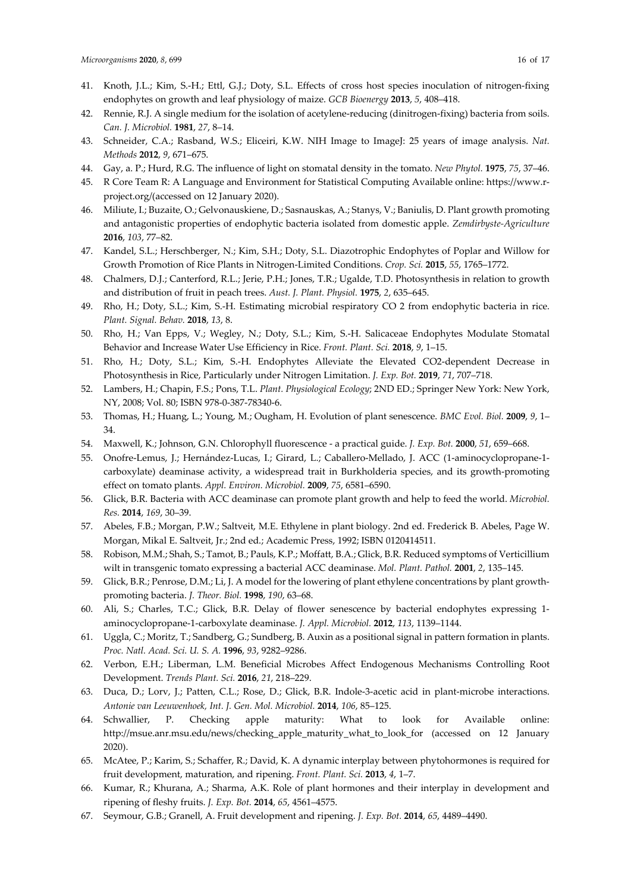- 41. Knoth, J.L.; Kim, S.-H.; Ettl, G.J.; Doty, S.L. Effects of cross host species inoculation of nitrogen-fixing endophytes on growth and leaf physiology of maize. *GCB Bioenergy* **2013**, *5*, 408–418.
- 42. Rennie, R.J. A single medium for the isolation of acetylene-reducing (dinitrogen-fixing) bacteria from soils. *Can. J. Microbiol.* **1981**, *27*, 8–14.
- 43. Schneider, C.A.; Rasband, W.S.; Eliceiri, K.W. NIH Image to ImageJ: 25 years of image analysis. *Nat. Methods* **2012**, *9*, 671–675.
- 44. Gay, a. P.; Hurd, R.G. The influence of light on stomatal density in the tomato. *New Phytol.* **1975**, *75*, 37–46.
- 45. R Core Team R: A Language and Environment for Statistical Computing Available online: https://www.rproject.org/(accessed on 12 January 2020).
- 46. Miliute, I.; Buzaite, O.; Gelvonauskiene, D.; Sasnauskas, A.; Stanys, V.; Baniulis, D. Plant growth promoting and antagonistic properties of endophytic bacteria isolated from domestic apple. *Zemdirbyste-Agriculture* **2016**, *103*, 77–82.
- 47. Kandel, S.L.; Herschberger, N.; Kim, S.H.; Doty, S.L. Diazotrophic Endophytes of Poplar and Willow for Growth Promotion of Rice Plants in Nitrogen-Limited Conditions. *Crop. Sci.* **2015**, *55*, 1765–1772.
- 48. Chalmers, D.J.; Canterford, R.L.; Jerie, P.H.; Jones, T.R.; Ugalde, T.D. Photosynthesis in relation to growth and distribution of fruit in peach trees. *Aust. J. Plant. Physiol.* **1975**, *2*, 635–645.
- 49. Rho, H.; Doty, S.L.; Kim, S.-H. Estimating microbial respiratory CO 2 from endophytic bacteria in rice. *Plant. Signal. Behav.* **2018**, *13*, 8.
- 50. Rho, H.; Van Epps, V.; Wegley, N.; Doty, S.L.; Kim, S.-H. Salicaceae Endophytes Modulate Stomatal Behavior and Increase Water Use Efficiency in Rice. *Front. Plant. Sci.* **2018**, *9*, 1–15.
- 51. Rho, H.; Doty, S.L.; Kim, S.-H. Endophytes Alleviate the Elevated CO2-dependent Decrease in Photosynthesis in Rice, Particularly under Nitrogen Limitation. *J. Exp. Bot.* **2019**, *71*, 707–718.
- 52. Lambers, H.; Chapin, F.S.; Pons, T.L. *Plant. Physiological Ecology*; 2ND ED.; Springer New York: New York, NY, 2008; Vol. 80; ISBN 978-0-387-78340-6.
- 53. Thomas, H.; Huang, L.; Young, M.; Ougham, H. Evolution of plant senescence. *BMC Evol. Biol.* **2009**, *9*, 1– 34.
- 54. Maxwell, K.; Johnson, G.N. Chlorophyll fluorescence a practical guide. *J. Exp. Bot.* **2000**, *51*, 659–668.
- 55. Onofre-Lemus, J.; Hernández-Lucas, I.; Girard, L.; Caballero-Mellado, J. ACC (1-aminocyclopropane-1 carboxylate) deaminase activity, a widespread trait in Burkholderia species, and its growth-promoting effect on tomato plants. *Appl. Environ. Microbiol.* **2009**, *75*, 6581–6590.
- 56. Glick, B.R. Bacteria with ACC deaminase can promote plant growth and help to feed the world. *Microbiol. Res.* **2014**, *169*, 30–39.
- 57. Abeles, F.B.; Morgan, P.W.; Saltveit, M.E. Ethylene in plant biology. 2nd ed. Frederick B. Abeles, Page W. Morgan, Mikal E. Saltveit, Jr.; 2nd ed.; Academic Press, 1992; ISBN 0120414511.
- 58. Robison, M.M.; Shah, S.; Tamot, B.; Pauls, K.P.; Moffatt, B.A.; Glick, B.R. Reduced symptoms of Verticillium wilt in transgenic tomato expressing a bacterial ACC deaminase. *Mol. Plant. Pathol.* **2001**, *2*, 135–145.
- 59. Glick, B.R.; Penrose, D.M.; Li, J. A model for the lowering of plant ethylene concentrations by plant growthpromoting bacteria. *J. Theor. Biol.* **1998**, *190*, 63–68.
- 60. Ali, S.; Charles, T.C.; Glick, B.R. Delay of flower senescence by bacterial endophytes expressing 1 aminocyclopropane-1-carboxylate deaminase. *J. Appl. Microbiol.* **2012**, *113*, 1139–1144.
- 61. Uggla, C.; Moritz, T.; Sandberg, G.; Sundberg, B. Auxin as a positional signal in pattern formation in plants. *Proc. Natl. Acad. Sci. U. S. A.* **1996**, *93*, 9282–9286.
- 62. Verbon, E.H.; Liberman, L.M. Beneficial Microbes Affect Endogenous Mechanisms Controlling Root Development. *Trends Plant. Sci.* **2016**, *21*, 218–229.
- 63. Duca, D.; Lorv, J.; Patten, C.L.; Rose, D.; Glick, B.R. Indole-3-acetic acid in plant-microbe interactions. *Antonie van Leeuwenhoek, Int. J. Gen. Mol. Microbiol.* **2014**, *106*, 85–125.
- 64. Schwallier, P. Checking apple maturity: What to look for Available online: http://msue.anr.msu.edu/news/checking\_apple\_maturity\_what\_to\_look\_for (accessed on 12 January 2020).
- 65. McAtee, P.; Karim, S.; Schaffer, R.; David, K. A dynamic interplay between phytohormones is required for fruit development, maturation, and ripening. *Front. Plant. Sci.* **2013**, *4*, 1–7.
- 66. Kumar, R.; Khurana, A.; Sharma, A.K. Role of plant hormones and their interplay in development and ripening of fleshy fruits. *J. Exp. Bot.* **2014**, *65*, 4561–4575.
- 67. Seymour, G.B.; Granell, A. Fruit development and ripening. *J. Exp. Bot.* **2014**, *65*, 4489–4490.